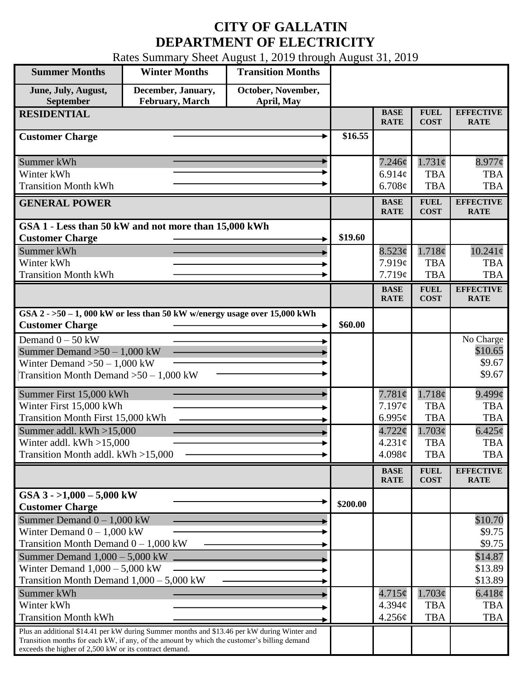## **CITY OF GALLATIN DEPARTMENT OF ELECTRICITY**

Rates Summary Sheet August 1, 2019 through August 31, 2019

| <b>Summer Months</b>                                   | <b>Winter Months</b>                                                                                                                                                                       | <b>Transition Months</b>         |          |                            |                            |                                 |
|--------------------------------------------------------|--------------------------------------------------------------------------------------------------------------------------------------------------------------------------------------------|----------------------------------|----------|----------------------------|----------------------------|---------------------------------|
| June, July, August,<br>September                       | December, January,<br>February, March                                                                                                                                                      | October, November,<br>April, May |          |                            |                            |                                 |
| <b>RESIDENTIAL</b>                                     |                                                                                                                                                                                            |                                  |          | <b>BASE</b><br><b>RATE</b> | <b>FUEL</b><br><b>COST</b> | <b>EFFECTIVE</b><br><b>RATE</b> |
| <b>Customer Charge</b>                                 |                                                                                                                                                                                            |                                  | \$16.55  |                            |                            |                                 |
| Summer kWh                                             |                                                                                                                                                                                            |                                  |          | $7.246\phi$                | $1.731\phi$                | $8.977$ ¢                       |
| Winter kWh                                             |                                                                                                                                                                                            |                                  |          | 6.914 $\phi$               | <b>TBA</b>                 | <b>TBA</b>                      |
| <b>Transition Month kWh</b>                            |                                                                                                                                                                                            |                                  |          | 6.708¢                     | <b>TBA</b>                 | <b>TBA</b>                      |
| <b>GENERAL POWER</b>                                   |                                                                                                                                                                                            |                                  |          | <b>BASE</b><br><b>RATE</b> | <b>FUEL</b><br><b>COST</b> | <b>EFFECTIVE</b><br><b>RATE</b> |
|                                                        | GSA 1 - Less than 50 kW and not more than 15,000 kWh                                                                                                                                       |                                  |          |                            |                            |                                 |
| <b>Customer Charge</b>                                 |                                                                                                                                                                                            |                                  | \$19.60  |                            |                            |                                 |
| Summer kWh                                             |                                                                                                                                                                                            |                                  |          | 8.523¢                     | 1.718¢                     | $10.241\phi$                    |
| Winter kWh                                             |                                                                                                                                                                                            |                                  |          | 7.919¢                     | <b>TBA</b>                 | <b>TBA</b>                      |
| <b>Transition Month kWh</b>                            |                                                                                                                                                                                            |                                  |          | 7.719¢                     | <b>TBA</b>                 | <b>TBA</b>                      |
|                                                        |                                                                                                                                                                                            |                                  |          | <b>BASE</b><br><b>RATE</b> | <b>FUEL</b><br><b>COST</b> | <b>EFFECTIVE</b><br><b>RATE</b> |
| <b>Customer Charge</b>                                 | GSA $2 - 50 - 1$ , 000 kW or less than 50 kW w/energy usage over 15,000 kWh                                                                                                                |                                  | \$60.00  |                            |                            |                                 |
| Demand $0 - 50$ kW                                     |                                                                                                                                                                                            |                                  |          |                            |                            | No Charge                       |
| Summer Demand $>50 - 1,000$ kW                         |                                                                                                                                                                                            |                                  |          |                            |                            | \$10.65                         |
| Winter Demand $>50-1,000$ kW                           |                                                                                                                                                                                            |                                  |          |                            |                            | \$9.67                          |
| Transition Month Demand $>50-1,000$ kW                 |                                                                                                                                                                                            |                                  |          |                            |                            | \$9.67                          |
| Summer First 15,000 kWh                                |                                                                                                                                                                                            |                                  |          | 7.781¢                     | 1.718¢                     | $9.499\ell$                     |
| Winter First 15,000 kWh                                |                                                                                                                                                                                            |                                  |          | 7.197¢                     | <b>TBA</b>                 | <b>TBA</b>                      |
| Transition Month First 15,000 kWh                      |                                                                                                                                                                                            |                                  |          | 6.995 $\phi$               | <b>TBA</b>                 | <b>TBA</b>                      |
| Summer addl. $kWh > 15,000$                            |                                                                                                                                                                                            |                                  |          | 4.722¢                     | 1.703¢                     | $6.425\phi$                     |
| Winter addl. $kWh > 15,000$                            |                                                                                                                                                                                            |                                  |          | $4.231\text{¢}$            | <b>TBA</b>                 | <b>TBA</b>                      |
| Transition Month addl. kWh >15,000                     |                                                                                                                                                                                            |                                  |          | 4.098 $\phi$               | <b>TBA</b>                 | <b>TBA</b>                      |
|                                                        |                                                                                                                                                                                            |                                  |          | <b>BASE</b><br><b>RATE</b> | <b>FUEL</b><br><b>COST</b> | <b>EFFECTIVE</b><br><b>RATE</b> |
| GSA $3 - 1,000 - 5,000$ kW<br><b>Customer Charge</b>   |                                                                                                                                                                                            |                                  | \$200.00 |                            |                            |                                 |
| Summer Demand $0 - 1,000$ kW                           |                                                                                                                                                                                            |                                  |          |                            |                            | \$10.70                         |
| Winter Demand $0 - 1,000$ kW                           |                                                                                                                                                                                            |                                  |          |                            |                            | \$9.75                          |
| Transition Month Demand $0 - 1,000$ kW                 |                                                                                                                                                                                            |                                  |          |                            |                            | \$9.75                          |
| Summer Demand $1,000 - 5,000$ kW                       |                                                                                                                                                                                            |                                  |          |                            |                            | \$14.87                         |
| Winter Demand $1,000 - 5,000$ kW                       |                                                                                                                                                                                            |                                  |          |                            |                            | \$13.89                         |
| Transition Month Demand $1,000 - 5,000$ kW             |                                                                                                                                                                                            |                                  |          |                            |                            | \$13.89                         |
| Summer kWh                                             |                                                                                                                                                                                            |                                  |          | $4.715\phi$                | 1.703¢                     | 6.418¢                          |
| Winter kWh                                             |                                                                                                                                                                                            |                                  |          | 4.394 <sub>c</sub>         | <b>TBA</b>                 | <b>TBA</b>                      |
| <b>Transition Month kWh</b>                            |                                                                                                                                                                                            |                                  |          | 4.256¢                     | <b>TBA</b>                 | <b>TBA</b>                      |
| exceeds the higher of 2,500 kW or its contract demand. | Plus an additional \$14.41 per kW during Summer months and \$13.46 per kW during Winter and<br>Transition months for each kW, if any, of the amount by which the customer's billing demand |                                  |          |                            |                            |                                 |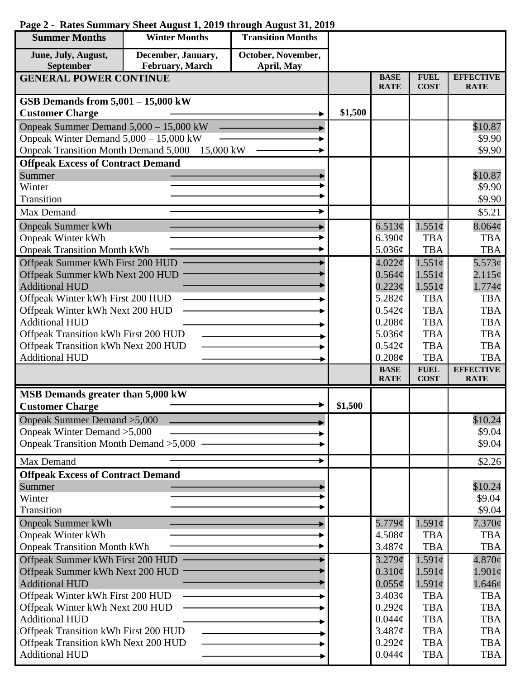| <b>Summer Months</b>                                                        | <b>Winter Months</b>                             | <b>Transition Months</b> |         |                              |                            |                                 |
|-----------------------------------------------------------------------------|--------------------------------------------------|--------------------------|---------|------------------------------|----------------------------|---------------------------------|
| June, July, August,                                                         | December, January,                               | October, November,       |         |                              |                            |                                 |
| September                                                                   | February, March                                  | April, May               |         |                              |                            |                                 |
| <b>GENERAL POWER CONTINUE</b>                                               |                                                  |                          |         | <b>BASE</b><br><b>RATE</b>   | <b>FUEL</b><br><b>COST</b> | <b>EFFECTIVE</b><br><b>RATE</b> |
| GSB Demands from $5,001 - 15,000$ kW                                        |                                                  |                          |         |                              |                            |                                 |
| <b>Customer Charge</b>                                                      |                                                  |                          | \$1,500 |                              |                            |                                 |
| Onpeak Summer Demand 5,000 - 15,000 kW                                      |                                                  |                          |         |                              |                            | \$10.87                         |
| Onpeak Winter Demand 5,000 - 15,000 kW                                      |                                                  |                          |         |                              |                            | \$9.90                          |
|                                                                             | Onpeak Transition Month Demand 5,000 - 15,000 kW |                          |         |                              |                            | \$9.90                          |
| <b>Offpeak Excess of Contract Demand</b>                                    |                                                  |                          |         |                              |                            |                                 |
| Summer                                                                      |                                                  |                          |         |                              |                            | \$10.87                         |
| Winter                                                                      |                                                  |                          |         |                              |                            | \$9.90                          |
| Transition                                                                  |                                                  |                          |         |                              |                            | \$9.90                          |
| Max Demand                                                                  |                                                  |                          |         |                              |                            | \$5.21                          |
| <b>Onpeak Summer kWh</b>                                                    |                                                  |                          |         | 6.513¢                       | $1.551\phi$                | $8.064\phi$                     |
| <b>Onpeak Winter kWh</b>                                                    |                                                  |                          |         | 6.390¢                       | <b>TBA</b>                 | <b>TBA</b>                      |
| <b>Onpeak Transition Month kWh</b>                                          |                                                  |                          |         | 5.036¢                       | <b>TBA</b>                 | <b>TBA</b>                      |
| Offpeak Summer kWh First 200 HUD                                            |                                                  |                          |         | $4.022\phi$                  | $1.551\phi$                | 5.573¢                          |
| Offpeak Summer kWh Next 200 HUD                                             |                                                  |                          |         | $0.564\mathcal{C}$           | $1.551\sigma$              | $2.115\phi$                     |
| <b>Additional HUD</b>                                                       |                                                  |                          |         | $0.223\phi$                  | $1.551\phi$                | $1.774\phi$                     |
| Offpeak Winter kWh First 200 HUD                                            |                                                  |                          |         | 5.282¢                       | <b>TBA</b>                 | <b>TBA</b>                      |
| Offpeak Winter kWh Next 200 HUD                                             |                                                  |                          |         | $0.542\mathcal{C}$           | <b>TBA</b>                 | <b>TBA</b>                      |
| <b>Additional HUD</b>                                                       |                                                  |                          |         | 0.208¢                       | <b>TBA</b>                 | <b>TBA</b>                      |
| Offpeak Transition kWh First 200 HUD                                        |                                                  |                          |         | 5.036¢<br>$0.542\mathcal{C}$ | <b>TBA</b><br><b>TBA</b>   | <b>TBA</b><br><b>TBA</b>        |
| Offpeak Transition kWh Next 200 HUD<br><b>Additional HUD</b>                |                                                  |                          |         | 0.208c                       | <b>TBA</b>                 | <b>TBA</b>                      |
|                                                                             |                                                  |                          |         | <b>BASE</b>                  | <b>FUEL</b>                | <b>EFFECTIVE</b>                |
|                                                                             |                                                  |                          |         | <b>RATE</b>                  | <b>COST</b>                | <b>RATE</b>                     |
| MSB Demands greater than 5,000 kW                                           |                                                  |                          |         |                              |                            |                                 |
| <b>Customer Charge</b>                                                      |                                                  |                          | \$1,500 |                              |                            |                                 |
| Onpeak Summer Demand > 5,000                                                |                                                  |                          |         |                              |                            | \$10.24                         |
| Onpeak Winter Demand > 5,000                                                |                                                  |                          |         |                              |                            | \$9.04                          |
| Onpeak Transition Month Demand > 5,000                                      |                                                  |                          |         |                              |                            | \$9.04                          |
| Max Demand                                                                  |                                                  |                          |         |                              |                            | \$2.26                          |
| <b>Offpeak Excess of Contract Demand</b>                                    |                                                  |                          |         |                              |                            |                                 |
| Summer                                                                      |                                                  |                          |         |                              |                            | \$10.24                         |
| Winter                                                                      |                                                  |                          |         |                              |                            | \$9.04                          |
| Transition                                                                  |                                                  |                          |         |                              |                            | \$9.04                          |
| <b>Onpeak Summer kWh</b>                                                    |                                                  |                          |         | 5.779¢                       | $1.591\phi$                | $7.370\phi$                     |
| <b>Onpeak Winter kWh</b>                                                    |                                                  |                          |         | 4.508¢                       | <b>TBA</b>                 | <b>TBA</b>                      |
| <b>Onpeak Transition Month kWh</b>                                          |                                                  |                          |         | 3.487¢                       | <b>TBA</b>                 | <b>TBA</b>                      |
| Offpeak Summer kWh First 200 HUD                                            |                                                  |                          |         | $3.279$ ¢                    | $1.591\mathcal{C}$         | $4.870\ell$                     |
| Offpeak Summer kWh Next 200 HUD                                             |                                                  |                          |         | $0.310\phi$                  | $1.591\mathcal{C}$         | $1.901\phi$                     |
| <b>Additional HUD</b>                                                       |                                                  |                          |         | $0.055\phi$                  | $1.591\phi$                | 1.646¢                          |
| Offpeak Winter kWh First 200 HUD<br>Offpeak Winter kWh Next 200 HUD         |                                                  |                          |         | 3.403¢<br>$0.292\mathcal{C}$ | <b>TBA</b><br><b>TBA</b>   | <b>TBA</b><br><b>TBA</b>        |
| <b>Additional HUD</b>                                                       |                                                  |                          |         | $0.044\phi$                  | <b>TBA</b>                 | <b>TBA</b>                      |
|                                                                             |                                                  |                          |         | 3.487¢                       | <b>TBA</b>                 | <b>TBA</b>                      |
| Offpeak Transition kWh First 200 HUD<br>Offpeak Transition kWh Next 200 HUD |                                                  |                          |         | $0.292\varphi$               | <b>TBA</b>                 | <b>TBA</b>                      |
| <b>Additional HUD</b>                                                       |                                                  |                          |         | $0.044\phi$                  | <b>TBA</b>                 | <b>TBA</b>                      |
|                                                                             |                                                  |                          |         |                              |                            |                                 |

## **Page 2 - Rates Summary Sheet August 1, 2019 through August 31, 2019**